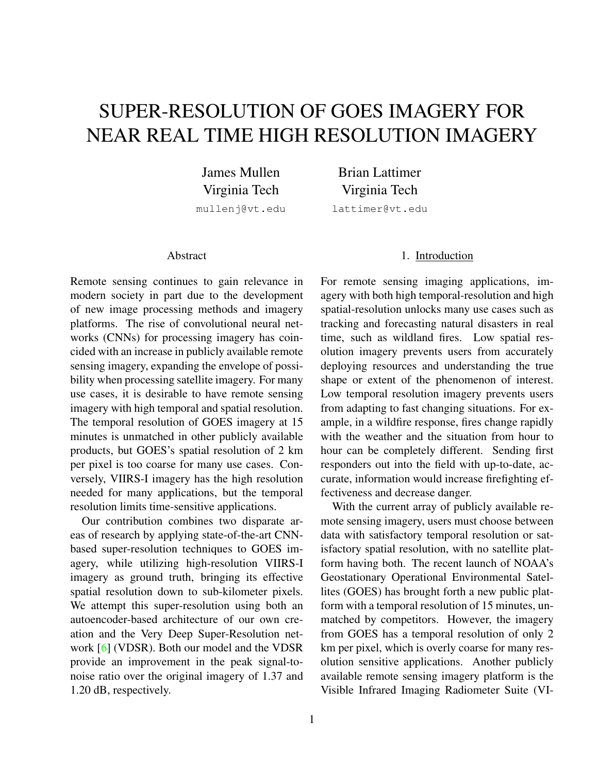# <span id="page-0-0"></span>SUPER-RESOLUTION OF GOES IMAGERY FOR NEAR REAL TIME HIGH RESOLUTION IMAGERY

James Mullen Virginia Tech mullenj@vt.edu

Brian Lattimer Virginia Tech lattimer@vt.edu

#### Abstract

Remote sensing continues to gain relevance in modern society in part due to the development of new image processing methods and imagery platforms. The rise of convolutional neural networks (CNNs) for processing imagery has coincided with an increase in publicly available remote sensing imagery, expanding the envelope of possibility when processing satellite imagery. For many use cases, it is desirable to have remote sensing imagery with high temporal and spatial resolution. The temporal resolution of GOES imagery at 15 minutes is unmatched in other publicly available products, but GOES's spatial resolution of 2 km per pixel is too coarse for many use cases. Conversely, VIIRS-I imagery has the high resolution needed for many applications, but the temporal resolution limits time-sensitive applications.

Our contribution combines two disparate areas of research by applying state-of-the-art CNNbased super-resolution techniques to GOES imagery, while utilizing high-resolution VIIRS-I imagery as ground truth, bringing its effective spatial resolution down to sub-kilometer pixels. We attempt this super-resolution using both an autoencoder-based architecture of our own creation and the Very Deep Super-Resolution network [\[6\]](#page-7-0) (VDSR). Both our model and the VDSR provide an improvement in the peak signal-tonoise ratio over the original imagery of 1.37 and 1.20 dB, respectively.

### 1. Introduction

For remote sensing imaging applications, imagery with both high temporal-resolution and high spatial-resolution unlocks many use cases such as tracking and forecasting natural disasters in real time, such as wildland fires. Low spatial resolution imagery prevents users from accurately deploying resources and understanding the true shape or extent of the phenomenon of interest. Low temporal resolution imagery prevents users from adapting to fast changing situations. For example, in a wildfire response, fires change rapidly with the weather and the situation from hour to hour can be completely different. Sending first responders out into the field with up-to-date, accurate, information would increase firefighting effectiveness and decrease danger.

With the current array of publicly available remote sensing imagery, users must choose between data with satisfactory temporal resolution or satisfactory spatial resolution, with no satellite platform having both. The recent launch of NOAA's Geostationary Operational Environmental Satellites (GOES) has brought forth a new public platform with a temporal resolution of 15 minutes, unmatched by competitors. However, the imagery from GOES has a temporal resolution of only 2 km per pixel, which is overly coarse for many resolution sensitive applications. Another publicly available remote sensing imagery platform is the Visible Infrared Imaging Radiometer Suite (VI-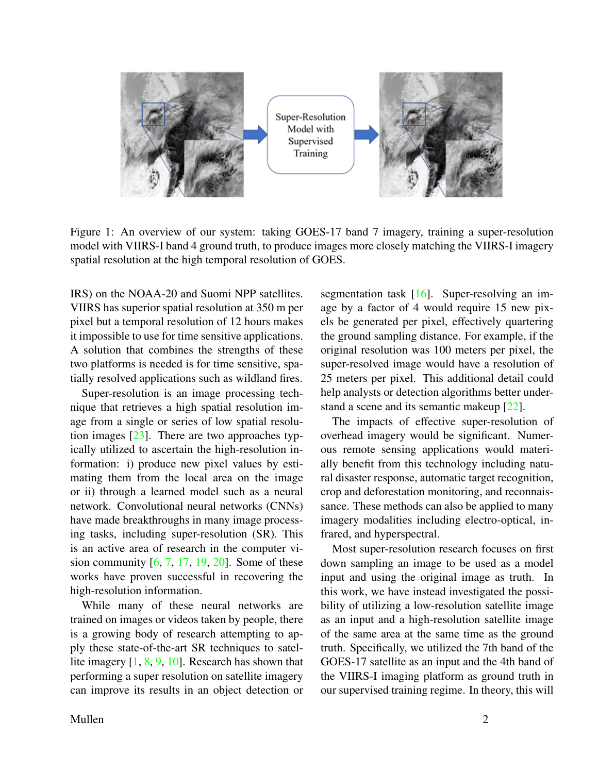<span id="page-1-0"></span>

Figure 1: An overview of our system: taking GOES-17 band 7 imagery, training a super-resolution model with VIIRS-I band 4 ground truth, to produce images more closely matching the VIIRS-I imagery spatial resolution at the high temporal resolution of GOES.

IRS) on the NOAA-20 and Suomi NPP satellites. VIIRS has superior spatial resolution at 350 m per pixel but a temporal resolution of 12 hours makes it impossible to use for time sensitive applications. A solution that combines the strengths of these two platforms is needed is for time sensitive, spatially resolved applications such as wildland fires.

Super-resolution is an image processing technique that retrieves a high spatial resolution image from a single or series of low spatial resolution images [\[23\]](#page-8-0). There are two approaches typically utilized to ascertain the high-resolution information: i) produce new pixel values by estimating them from the local area on the image or ii) through a learned model such as a neural network. Convolutional neural networks (CNNs) have made breakthroughs in many image processing tasks, including super-resolution (SR). This is an active area of research in the computer vision community  $[6, 7, 17, 19, 20]$  $[6, 7, 17, 19, 20]$  $[6, 7, 17, 19, 20]$  $[6, 7, 17, 19, 20]$  $[6, 7, 17, 19, 20]$  $[6, 7, 17, 19, 20]$  $[6, 7, 17, 19, 20]$  $[6, 7, 17, 19, 20]$  $[6, 7, 17, 19, 20]$ . Some of these works have proven successful in recovering the high-resolution information.

While many of these neural networks are trained on images or videos taken by people, there is a growing body of research attempting to apply these state-of-the-art SR techniques to satellite imagery [\[1,](#page-7-4) [8,](#page-7-5) [9,](#page-7-6) [10\]](#page-7-7). Research has shown that performing a super resolution on satellite imagery can improve its results in an object detection or

segmentation task [\[16\]](#page-7-8). Super-resolving an image by a factor of 4 would require 15 new pixels be generated per pixel, effectively quartering the ground sampling distance. For example, if the original resolution was 100 meters per pixel, the super-resolved image would have a resolution of 25 meters per pixel. This additional detail could help analysts or detection algorithms better under-stand a scene and its semantic makeup [\[22\]](#page-8-2).

The impacts of effective super-resolution of overhead imagery would be significant. Numerous remote sensing applications would materially benefit from this technology including natural disaster response, automatic target recognition, crop and deforestation monitoring, and reconnaissance. These methods can also be applied to many imagery modalities including electro-optical, infrared, and hyperspectral.

Most super-resolution research focuses on first down sampling an image to be used as a model input and using the original image as truth. In this work, we have instead investigated the possibility of utilizing a low-resolution satellite image as an input and a high-resolution satellite image of the same area at the same time as the ground truth. Specifically, we utilized the 7th band of the GOES-17 satellite as an input and the 4th band of the VIIRS-I imaging platform as ground truth in our supervised training regime. In theory, this will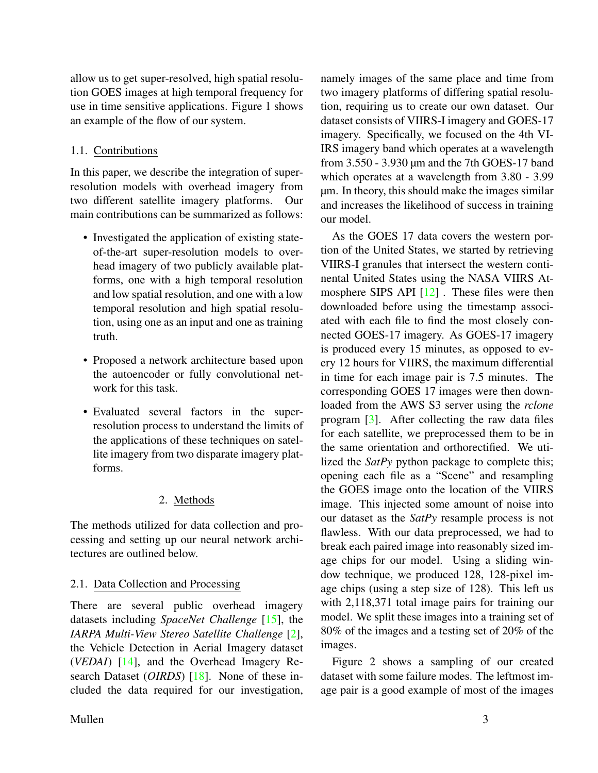<span id="page-2-0"></span>allow us to get super-resolved, high spatial resolution GOES images at high temporal frequency for use in time sensitive applications. Figure 1 shows an example of the flow of our system.

## 1.1. Contributions

In this paper, we describe the integration of superresolution models with overhead imagery from two different satellite imagery platforms. Our main contributions can be summarized as follows:

- Investigated the application of existing stateof-the-art super-resolution models to overhead imagery of two publicly available platforms, one with a high temporal resolution and low spatial resolution, and one with a low temporal resolution and high spatial resolution, using one as an input and one as training truth.
- Proposed a network architecture based upon the autoencoder or fully convolutional network for this task.
- Evaluated several factors in the superresolution process to understand the limits of the applications of these techniques on satellite imagery from two disparate imagery platforms.

## 2. Methods

The methods utilized for data collection and processing and setting up our neural network architectures are outlined below.

## 2.1. Data Collection and Processing

There are several public overhead imagery datasets including *SpaceNet Challenge* [\[15\]](#page-7-9), the *IARPA Multi-View Stereo Satellite Challenge* [\[2\]](#page-7-10), the Vehicle Detection in Aerial Imagery dataset (*VEDAI*) [\[14\]](#page-7-11), and the Overhead Imagery Research Dataset (*OIRDS*) [\[18\]](#page-7-12). None of these included the data required for our investigation,

namely images of the same place and time from two imagery platforms of differing spatial resolution, requiring us to create our own dataset. Our dataset consists of VIIRS-I imagery and GOES-17 imagery. Specifically, we focused on the 4th VI-IRS imagery band which operates at a wavelength from 3.550 - 3.930 µm and the 7th GOES-17 band which operates at a wavelength from  $3.80 - 3.99$ µm. In theory, this should make the images similar and increases the likelihood of success in training our model.

As the GOES 17 data covers the western portion of the United States, we started by retrieving VIIRS-I granules that intersect the western continental United States using the NASA VIIRS Atmosphere SIPS API [\[12\]](#page-7-13) . These files were then downloaded before using the timestamp associated with each file to find the most closely connected GOES-17 imagery. As GOES-17 imagery is produced every 15 minutes, as opposed to every 12 hours for VIIRS, the maximum differential in time for each image pair is 7.5 minutes. The corresponding GOES 17 images were then downloaded from the AWS S3 server using the *rclone* program [\[3\]](#page-7-14). After collecting the raw data files for each satellite, we preprocessed them to be in the same orientation and orthorectified. We utilized the *SatPy* python package to complete this; opening each file as a "Scene" and resampling the GOES image onto the location of the VIIRS image. This injected some amount of noise into our dataset as the *SatPy* resample process is not flawless. With our data preprocessed, we had to break each paired image into reasonably sized image chips for our model. Using a sliding window technique, we produced 128, 128-pixel image chips (using a step size of 128). This left us with 2,118,371 total image pairs for training our model. We split these images into a training set of 80% of the images and a testing set of 20% of the images.

Figure 2 shows a sampling of our created dataset with some failure modes. The leftmost image pair is a good example of most of the images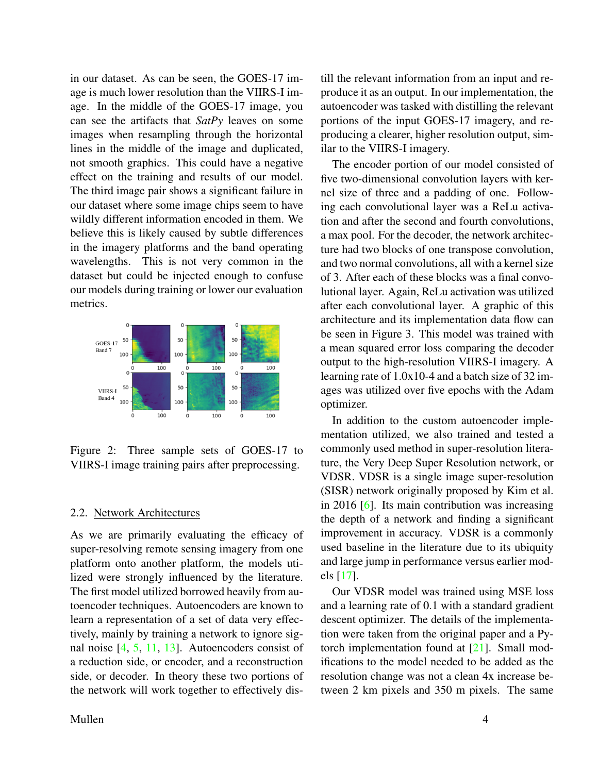<span id="page-3-0"></span>in our dataset. As can be seen, the GOES-17 image is much lower resolution than the VIIRS-I image. In the middle of the GOES-17 image, you can see the artifacts that *SatPy* leaves on some images when resampling through the horizontal lines in the middle of the image and duplicated, not smooth graphics. This could have a negative effect on the training and results of our model. The third image pair shows a significant failure in our dataset where some image chips seem to have wildly different information encoded in them. We believe this is likely caused by subtle differences in the imagery platforms and the band operating wavelengths. This is not very common in the dataset but could be injected enough to confuse our models during training or lower our evaluation metrics.



Figure 2: Three sample sets of GOES-17 to VIIRS-I image training pairs after preprocessing.

#### 2.2. Network Architectures

As we are primarily evaluating the efficacy of super-resolving remote sensing imagery from one platform onto another platform, the models utilized were strongly influenced by the literature. The first model utilized borrowed heavily from autoencoder techniques. Autoencoders are known to learn a representation of a set of data very effectively, mainly by training a network to ignore signal noise [\[4,](#page-7-15) [5,](#page-7-16) [11,](#page-7-17) [13\]](#page-7-18). Autoencoders consist of a reduction side, or encoder, and a reconstruction side, or decoder. In theory these two portions of the network will work together to effectively dis-

The encoder portion of our model consisted of five two-dimensional convolution layers with kernel size of three and a padding of one. Following each convolutional layer was a ReLu activation and after the second and fourth convolutions, a max pool. For the decoder, the network architecture had two blocks of one transpose convolution, and two normal convolutions, all with a kernel size of 3. After each of these blocks was a final convolutional layer. Again, ReLu activation was utilized after each convolutional layer. A graphic of this architecture and its implementation data flow can be seen in Figure 3. This model was trained with a mean squared error loss comparing the decoder output to the high-resolution VIIRS-I imagery. A learning rate of 1.0x10-4 and a batch size of 32 images was utilized over five epochs with the Adam optimizer.

In addition to the custom autoencoder implementation utilized, we also trained and tested a commonly used method in super-resolution literature, the Very Deep Super Resolution network, or VDSR. VDSR is a single image super-resolution (SISR) network originally proposed by Kim et al. in 2016 [\[6\]](#page-7-0). Its main contribution was increasing the depth of a network and finding a significant improvement in accuracy. VDSR is a commonly used baseline in the literature due to its ubiquity and large jump in performance versus earlier models [\[17\]](#page-7-2).

Our VDSR model was trained using MSE loss and a learning rate of 0.1 with a standard gradient descent optimizer. The details of the implementation were taken from the original paper and a Pytorch implementation found at  $\boxed{21}$ . Small modifications to the model needed to be added as the resolution change was not a clean 4x increase between 2 km pixels and 350 m pixels. The same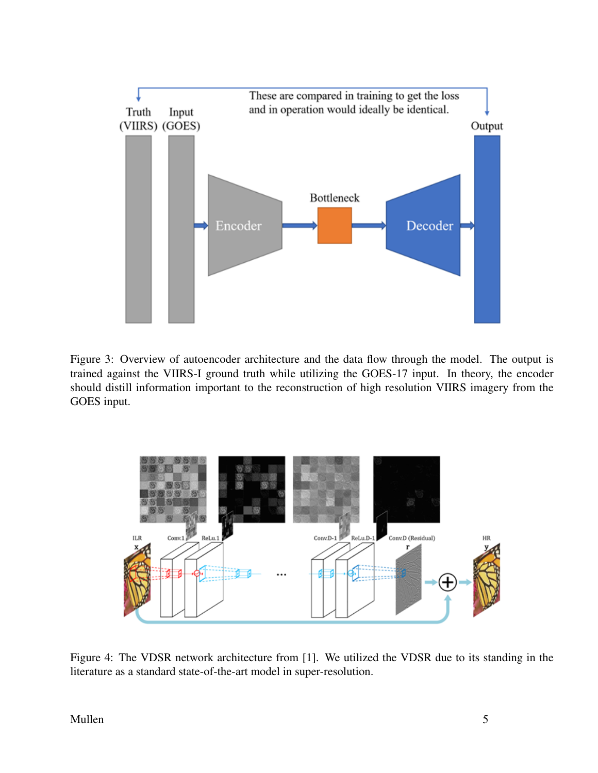

Figure 3: Overview of autoencoder architecture and the data flow through the model. The output is trained against the VIIRS-I ground truth while utilizing the GOES-17 input. In theory, the encoder should distill information important to the reconstruction of high resolution VIIRS imagery from the GOES input.



Figure 4: The VDSR network architecture from [1]. We utilized the VDSR due to its standing in the literature as a standard state-of-the-art model in super-resolution.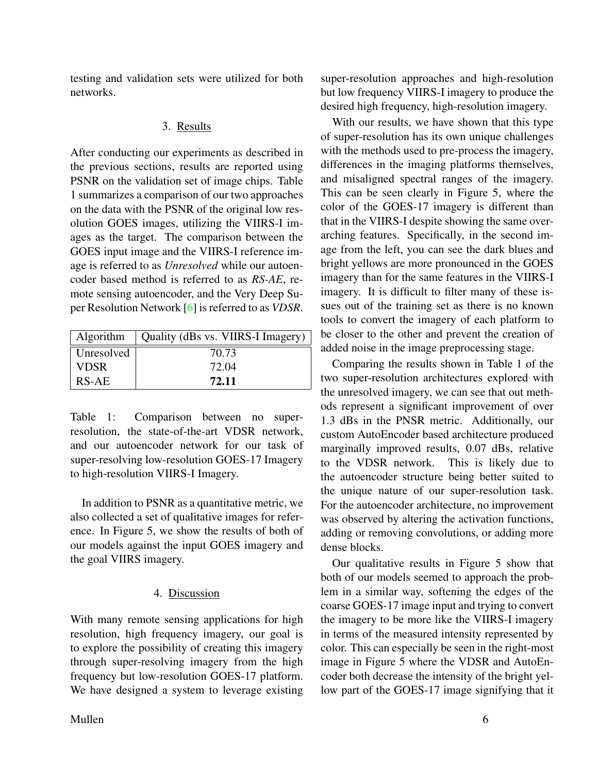<span id="page-5-0"></span>testing and validation sets were utilized for both networks.

## 3. Results

After conducting our experiments as described in the previous sections, results are reported using PSNR on the validation set of image chips. Table 1 summarizes a comparison of our two approaches on the data with the PSNR of the original low resolution GOES images, utilizing the VIIRS-I images as the target. The comparison between the GOES input image and the VIIRS-I reference image is referred to as *Unresolved* while our autoencoder based method is referred to as *RS-AE*, remote sensing autoencoder, and the Very Deep Super Resolution Network [\[6\]](#page-7-0) is referred to as *VDSR*.

| Algorithm   | Quality (dBs vs. VIIRS-I Imagery) |
|-------------|-----------------------------------|
| Unresolved  | 70.73                             |
| <b>VDSR</b> | 72.04                             |
| RS-AE       | 72.11                             |

Table 1: Comparison between no superresolution, the state-of-the-art VDSR network, and our autoencoder network for our task of super-resolving low-resolution GOES-17 Imagery to high-resolution VIIRS-I Imagery.

In addition to PSNR as a quantitative metric, we also collected a set of qualitative images for reference. In Figure 5, we show the results of both of our models against the input GOES imagery and the goal VIIRS imagery.

## 4. Discussion

With many remote sensing applications for high resolution, high frequency imagery, our goal is to explore the possibility of creating this imagery through super-resolving imagery from the high frequency but low-resolution GOES-17 platform. We have designed a system to leverage existing

super-resolution approaches and high-resolution but low frequency VIIRS-I imagery to produce the desired high frequency, high-resolution imagery.

With our results, we have shown that this type of super-resolution has its own unique challenges with the methods used to pre-process the imagery, differences in the imaging platforms themselves, and misaligned spectral ranges of the imagery. This can be seen clearly in Figure 5, where the color of the GOES-17 imagery is different than that in the VIIRS-I despite showing the same overarching features. Specifically, in the second image from the left, you can see the dark blues and bright yellows are more pronounced in the GOES imagery than for the same features in the VIIRS-I imagery. It is difficult to filter many of these issues out of the training set as there is no known tools to convert the imagery of each platform to be closer to the other and prevent the creation of added noise in the image preprocessing stage.

Comparing the results shown in Table 1 of the two super-resolution architectures explored with the unresolved imagery, we can see that out methods represent a significant improvement of over 1.3 dBs in the PNSR metric. Additionally, our custom AutoEncoder based architecture produced marginally improved results, 0.07 dBs, relative to the VDSR network. This is likely due to the autoencoder structure being better suited to the unique nature of our super-resolution task. For the autoencoder architecture, no improvement was observed by altering the activation functions, adding or removing convolutions, or adding more dense blocks.

Our qualitative results in Figure 5 show that both of our models seemed to approach the problem in a similar way, softening the edges of the coarse GOES-17 image input and trying to convert the imagery to be more like the VIIRS-I imagery in terms of the measured intensity represented by color. This can especially be seen in the right-most image in Figure 5 where the VDSR and AutoEncoder both decrease the intensity of the bright yellow part of the GOES-17 image signifying that it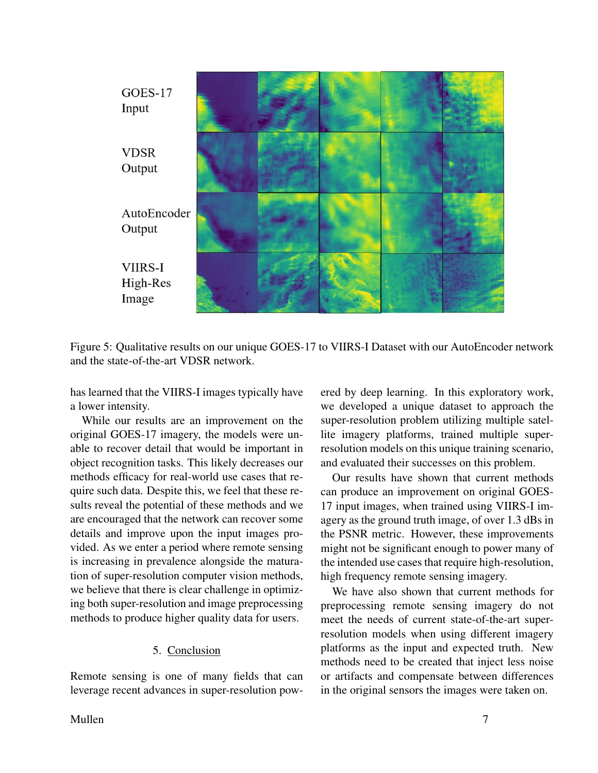

Figure 5: Qualitative results on our unique GOES-17 to VIIRS-I Dataset with our AutoEncoder network and the state-of-the-art VDSR network.

has learned that the VIIRS-I images typically have a lower intensity.

While our results are an improvement on the original GOES-17 imagery, the models were unable to recover detail that would be important in object recognition tasks. This likely decreases our methods efficacy for real-world use cases that require such data. Despite this, we feel that these results reveal the potential of these methods and we are encouraged that the network can recover some details and improve upon the input images provided. As we enter a period where remote sensing is increasing in prevalence alongside the maturation of super-resolution computer vision methods, we believe that there is clear challenge in optimizing both super-resolution and image preprocessing methods to produce higher quality data for users.

## 5. Conclusion

Remote sensing is one of many fields that can leverage recent advances in super-resolution pow-

ered by deep learning. In this exploratory work, we developed a unique dataset to approach the super-resolution problem utilizing multiple satellite imagery platforms, trained multiple superresolution models on this unique training scenario, and evaluated their successes on this problem.

Our results have shown that current methods can produce an improvement on original GOES-17 input images, when trained using VIIRS-I imagery as the ground truth image, of over 1.3 dBs in the PSNR metric. However, these improvements might not be significant enough to power many of the intended use cases that require high-resolution, high frequency remote sensing imagery.

We have also shown that current methods for preprocessing remote sensing imagery do not meet the needs of current state-of-the-art superresolution models when using different imagery platforms as the input and expected truth. New methods need to be created that inject less noise or artifacts and compensate between differences in the original sensors the images were taken on.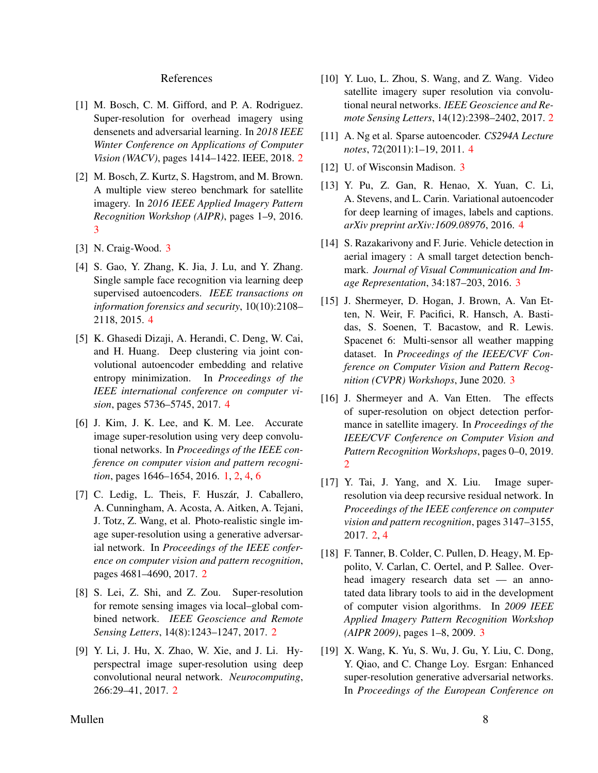#### References

- <span id="page-7-4"></span>[1] M. Bosch, C. M. Gifford, and P. A. Rodriguez. Super-resolution for overhead imagery using densenets and adversarial learning. In *2018 IEEE Winter Conference on Applications of Computer Vision (WACV)*, pages 1414–1422. IEEE, 2018. [2](#page-1-0)
- <span id="page-7-10"></span>[2] M. Bosch, Z. Kurtz, S. Hagstrom, and M. Brown. A multiple view stereo benchmark for satellite imagery. In *2016 IEEE Applied Imagery Pattern Recognition Workshop (AIPR)*, pages 1–9, 2016. [3](#page-2-0)
- <span id="page-7-15"></span><span id="page-7-14"></span>[3] N. Craig-Wood. [3](#page-2-0)
- [4] S. Gao, Y. Zhang, K. Jia, J. Lu, and Y. Zhang. Single sample face recognition via learning deep supervised autoencoders. *IEEE transactions on information forensics and security*, 10(10):2108– 2118, 2015. [4](#page-3-0)
- <span id="page-7-16"></span>[5] K. Ghasedi Dizaji, A. Herandi, C. Deng, W. Cai, and H. Huang. Deep clustering via joint convolutional autoencoder embedding and relative entropy minimization. In *Proceedings of the IEEE international conference on computer vision*, pages 5736–5745, 2017. [4](#page-3-0)
- <span id="page-7-0"></span>[6] J. Kim, J. K. Lee, and K. M. Lee. Accurate image super-resolution using very deep convolutional networks. In *Proceedings of the IEEE conference on computer vision and pattern recognition*, pages 1646–1654, 2016. [1,](#page-0-0) [2,](#page-1-0) [4,](#page-3-0) [6](#page-5-0)
- <span id="page-7-1"></span>[7] C. Ledig, L. Theis, F. Huszár, J. Caballero, A. Cunningham, A. Acosta, A. Aitken, A. Tejani, J. Totz, Z. Wang, et al. Photo-realistic single image super-resolution using a generative adversarial network. In *Proceedings of the IEEE conference on computer vision and pattern recognition*, pages 4681–4690, 2017. [2](#page-1-0)
- <span id="page-7-5"></span>[8] S. Lei, Z. Shi, and Z. Zou. Super-resolution for remote sensing images via local–global combined network. *IEEE Geoscience and Remote Sensing Letters*, 14(8):1243–1247, 2017. [2](#page-1-0)
- <span id="page-7-6"></span>[9] Y. Li, J. Hu, X. Zhao, W. Xie, and J. Li. Hyperspectral image super-resolution using deep convolutional neural network. *Neurocomputing*, 266:29–41, 2017. [2](#page-1-0)
- <span id="page-7-7"></span>[10] Y. Luo, L. Zhou, S. Wang, and Z. Wang. Video satellite imagery super resolution via convolutional neural networks. *IEEE Geoscience and Remote Sensing Letters*, 14(12):2398–2402, 2017. [2](#page-1-0)
- <span id="page-7-17"></span>[11] A. Ng et al. Sparse autoencoder. *CS294A Lecture notes*, 72(2011):1–19, 2011. [4](#page-3-0)
- <span id="page-7-18"></span><span id="page-7-13"></span>[12] U. of Wisconsin Madison. [3](#page-2-0)
- [13] Y. Pu, Z. Gan, R. Henao, X. Yuan, C. Li, A. Stevens, and L. Carin. Variational autoencoder for deep learning of images, labels and captions. *arXiv preprint arXiv:1609.08976*, 2016. [4](#page-3-0)
- <span id="page-7-11"></span>[14] S. Razakarivony and F. Jurie. Vehicle detection in aerial imagery : A small target detection benchmark. *Journal of Visual Communication and Image Representation*, 34:187–203, 2016. [3](#page-2-0)
- <span id="page-7-9"></span>[15] J. Shermeyer, D. Hogan, J. Brown, A. Van Etten, N. Weir, F. Pacifici, R. Hansch, A. Bastidas, S. Soenen, T. Bacastow, and R. Lewis. Spacenet 6: Multi-sensor all weather mapping dataset. In *Proceedings of the IEEE/CVF Conference on Computer Vision and Pattern Recognition (CVPR) Workshops*, June 2020. [3](#page-2-0)
- <span id="page-7-8"></span>[16] J. Shermeyer and A. Van Etten. The effects of super-resolution on object detection performance in satellite imagery. In *Proceedings of the IEEE/CVF Conference on Computer Vision and Pattern Recognition Workshops*, pages 0–0, 2019. [2](#page-1-0)
- <span id="page-7-2"></span>[17] Y. Tai, J. Yang, and X. Liu. Image superresolution via deep recursive residual network. In *Proceedings of the IEEE conference on computer vision and pattern recognition*, pages 3147–3155, 2017. [2,](#page-1-0) [4](#page-3-0)
- <span id="page-7-12"></span>[18] F. Tanner, B. Colder, C. Pullen, D. Heagy, M. Eppolito, V. Carlan, C. Oertel, and P. Sallee. Overhead imagery research data set — an annotated data library tools to aid in the development of computer vision algorithms. In *2009 IEEE Applied Imagery Pattern Recognition Workshop (AIPR 2009)*, pages 1–8, 2009. [3](#page-2-0)
- <span id="page-7-3"></span>[19] X. Wang, K. Yu, S. Wu, J. Gu, Y. Liu, C. Dong, Y. Qiao, and C. Change Loy. Esrgan: Enhanced super-resolution generative adversarial networks. In *Proceedings of the European Conference on*